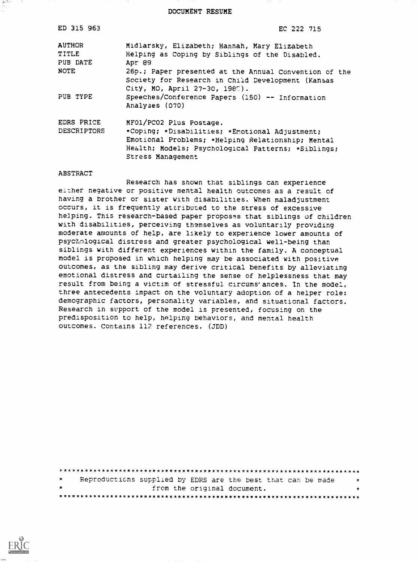DOCUMENT RESUME

| ED 315 963    | EC 222 715                                                                                                                   |
|---------------|------------------------------------------------------------------------------------------------------------------------------|
| <b>AUTHOR</b> | Midlarsky, Elizabeth; Hannah, Mary Elizabeth                                                                                 |
| <b>TITLE</b>  | Helping as Coping by Siblings of the Disabled.                                                                               |
| PUB DATE      | Apr 89                                                                                                                       |
| NOTE          | 26p.; Paper presented at the Annual Convention of the                                                                        |
|               | Society for Research in Child Development (Kansas                                                                            |
| PUB TYPE      | City, MO, April 27-30, 1980).                                                                                                |
|               | Speeches/Conference Papers (150) -- Information<br>Analyses (070)                                                            |
| EDRS PRICE    | MF01/PC02 Plus Postage.                                                                                                      |
| DESCRIPTORS   | *Coping; *Disabilities; *Emotional Adjustment;                                                                               |
|               | Emotional Problems; *Helping Relationship; Mental<br>Health; Models; Psychological Patterns; *Siblings;<br>Stress Management |

#### ABSTRACT

المتوقفين

Research has shown that siblings can experience either negative or positive mental health outcomes as a result of having a brother or sister with disabilities. When maladjustment occurs, it is frequently attributed to the stress of excessive helping. This research-based paper proposes that siblings of children with disabilities, perceiving themselves as voluntarily providing moderate amounts of help, are likely to experience lower amounts of psychological distress and greater psychological well-being than siblings with different experiences within the family. A conceptual model is proposed in which helping may be associated with positive outcomes, as the sibling may derive critical benefits by alleviating emotional distress and curtailing the sense of helplessness that may result from being a victim of stressful circums'ances. In the model, three antecedents impact on the voluntary adoption of a helper role: demographic factors, personality variables, and situational factors. Research in support of the model is presented, focusing on the predisposition to help, helping behaviors, and mental health outcomes. Contains 112 references. (JDD)

\*\*\*\*\*\*\*\*\*\*\*X\*\*\*\*\*\*\*\*\*\*\*\*\*\*\*\*\*\*\*\*\*\*\*\*\*\*\*\*\*\*\*\*\*\*\*\*\*\*\*\*\*\*\*\*\*\*\*\*\*\*\*\*\*\*\*\*\*\*\* Reproductions supplied by EDRS are the best that can be made from the original document. $\star$ \*\*\*\*\*\*\*\*\*\*\*\*\*\*\*\*\*\*\*\*\*\*\*\*\*\*\*\*\*\*\*\*\*\*\*\*\*\*\*\*\*\*\*\*\*\*\*\*\*\*\*\*\*\*\*\*\*\*\*\*\*\*\*\*\*\*\*\*\*\*\*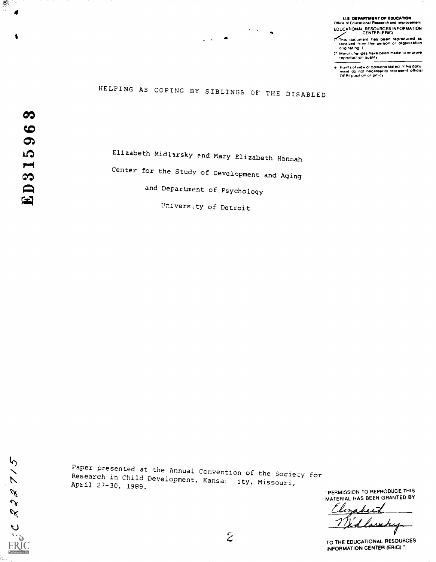# U.S. DEPARTMENT OF EDUCATION<br>Office of Educational Research and Improvement

EDUCATIONAL RESOURCES INFORMATION

- This document has been reproduced a\* received from the person or oroaritration originating ,t
- Minor changes neve been made to improve reproduction duality

Points of view or opinions stated in this docu-<br>ment :do: not :necessarily .represent: official<br>OERI position or policy

# HELPING AS COPING BY SIBLINGS OF THE DISABLED

 $\infty$ ED31596

 $\zeta$ 

 $\mathcal{L}$ 

 $222$ 

**ERIC** 

à.

舞

Elizabeth Midlarsky and Mary Elizabeth Hannah Center for the Study of Development and Aging and Department of Psychology University of Detroit

Paper presented at the Annual Convention of the Society for<br>Research in Child Development, Kansa: ity, Missouri,<br>April 27-30, 1989.

 $\boldsymbol{z}$ 

"PERMISSION TO REPRODUCE THIS MATERIAL HAS BEEN GRANTED BY

abeit

TO THE EDUCATIONAL RESOURCES INFORMATION CENTER (ERIC)."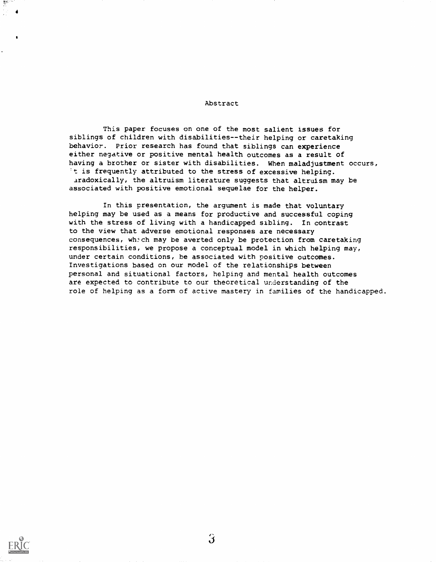#### Abstract

This paper focuses on one of the most salient issues for siblings of children with disabilities--their helping or caretaking behavior. Prior research has found that siblings can experience either negative or positive mental health outcomes as a result of having a brother or sister with disabilities. When maladjustment occurs, 't is frequently attributed to the stress of excessive helping. aradoxically, the altruism literature suggests that altruism may be associated with positive emotional sequelae for the helper.

In this presentation, the argument is made that voluntary helping may be used as a means for productive and successful coping with the stress of living with a handicapped sibling. In contrast to the view that adverse emotional responses are necessary consequences, wh:ch may be averted only be protection from caretaking responsibilities, we propose a conceptual model in which helping may, under certain conditions, be associated with positive outcomes. Investigations based on our model of the relationships between personal and situational factors, helping and mental health outcomes are expected to contribute to our theoretical understanding of the role of helping as a form of active mastery in families of the handicapped.



4

षुर<sup>ाय</sup>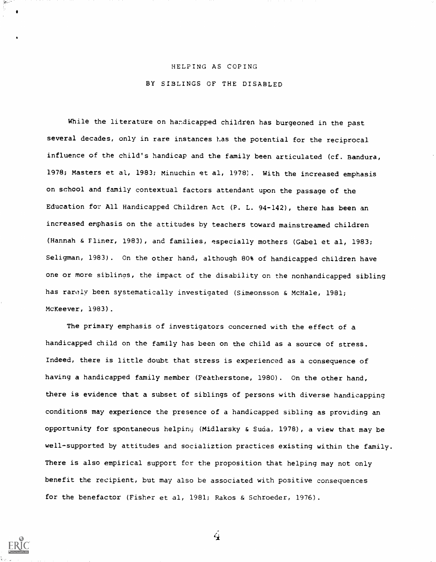#### HELPING AS COPING

#### BY SIBLINGS OF THE DISABLED

While the literature on handicapped children has burgeoned in the past several decades, only in rare instances has the potential for the reciprocal influence of the child's handicap and the family been articulated (cf. Bandura, 1978; Masters et al, 1983; Minuchin et al, 1978). With the increased emphasis on school and family contextual factors attendant upon the passage of the Education for All Handicapped Children Act (P. L. 94-142), there has been an increased emphasis on the attitudes by teachers toward mainstreamed children (Hannah & Fliner, 1983), and families, especially mothers (Gabel et al, 1983; Seligman, 1983). On the other hand, although 80% of handicapped children have one or more siblings, the impact of the disability on the nonhandicapped sibling has rarely been systematically investigated (Simeonsson & McHale, 1981; McKeever, 1983).

The primary emphasis of investigators concerned with the effect of a handicapped child on the family has been on the child as a source of stress. Indeed, there is little doubt that stress is experienced as a consequence of having a handicapped family member (Featherstone, 1980). On the other hand, there is evidence that a subset of siblings of persons with diverse handicapping conditions may experience the presence of a handicapped sibling as providing an opportunity for spontaneous helping (Midlarsky & Suda, 1978), a view that may be well-supported by attitudes and socializtion practices existing within the family. There is also empirical support for the proposition that helping may not only benefit the recipient, but may also be associated with positive consequences for the benefactor (Fisher et al, 1981; Rakos & Schroeder, 1976).

 $\mathbf{4}$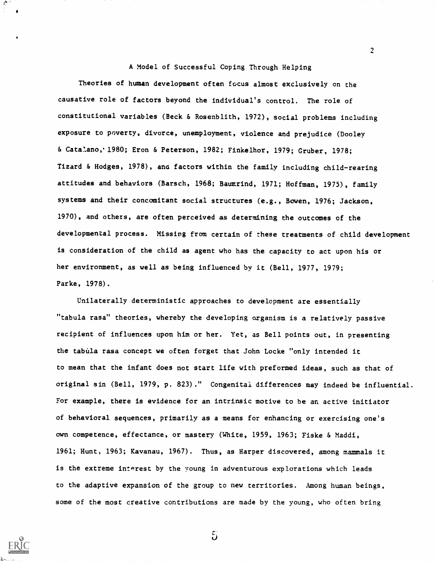A Model of Successful Coping Through Helping

2

Theories of human development often focus almost exclusively on the causative role of factors beyond the individual's control. The role of constitutional variables (Beck & Rosenblith, 1972), social problems including exposure to poverty, divorce, unemployment, violence and prejudice (Dooley & Catalano,1980; Eron & Peterson, 1982; Finkelhor, 1979; Gruber, 1978; Tizard & Hodges, 1978), ana factors within the family including child-rearing attitudes and behaviors (Barsch, 1968; Baumrind, 1971; Hoffman, 1975), family systems and their concomitant social structures (e.g., Bowen, 1976; Jackson, 1970), and others, are often perceived as determining the outcomes of the developmental process. Missing from certain of these treatments of child development is consideration of the child as agent who has the capacity to act upon his or her environment, as well as being influenced by it (Bell, 1977, 1979; Parke, 1978).

Unilaterally deterministic approaches to development are essentially "tabula rasa" theories, whereby the developing organism is a relatively passive recipient of influences upon him or her. Yet, as Bell points out, in presenting the tabula rasa concept we often forget that John Locke "only intended it to mean that the infant does not start life with preformed ideas, such as that of original sin (Bell, 1979, p. 823)." Congenital differences may indeed be influential. For example, there is evidence for an intrinsic motive to be an active initiator of behavioral sequences, primarily as a means for enhancing or exercising one's own competence, effectance, or mastery (White, 1959, 1963; Fiske & Maddi, 1961; Hunt, 1963; Kavanau, 1967). Thus, as Harper discovered, among mammals it is the extreme interest by the young in adventurous explorations which leads to the adaptive expansion of the group to new territories. Among human beings, some of the most creative contributions are made by the young, who often bring



 $5\overline{)}$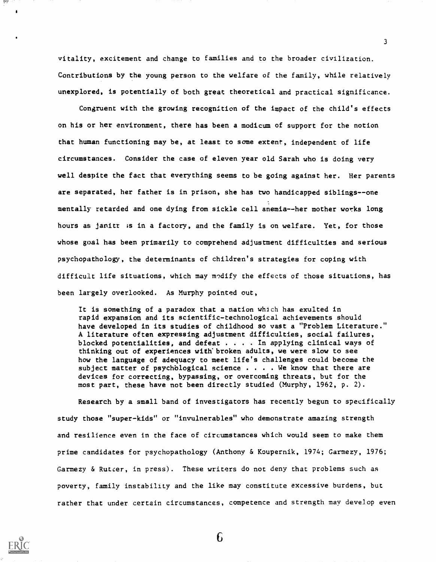vitality, excitement and change to families and to the broader civilization. Contributions by the young person to the welfare of the family, while relatively unexplored, is potentially of both great theoretical and practical significance.

سيسير

Congruent with the growing recognition of the impact of the child's effects on his or her environment, there has been a modicum of support for the notion that human functioning may be, at least to some extent, independent of life circumstances. Consider the case of eleven year old Sarah who is doing very well despite the fact that everything seems to be going against her. Her parents are separated, her father is in prison, she has two handicapped siblings--one mentally retarded and one dying from sickle cell anemia--her mother works long hours as janitr is in a factory, and the family is on welfare. Yet, for those whose goal has been primarily to comprehend adjustment difficulties and serious psychopathology, the determinants of children's strategies for coping with difficult life situations, which may modify the effects of those situations, has been largely overlooked. As Murphy pointed out,

It is something of a paradox that a nation which has exulted in rapid expansion and its scientific-technological achievements should have developed in its studies of childhood so vast a "Problem Literature." A literature often expressing adjustment difficulties, social failures, blocked potentialities, and defeat  $\cdots$ . In applying clinical ways of thinking out of experiences with'broken adults, we were slow to see how the language of adequacy to meet life's challenges could become the subject matter of psychological science . . . . We know that there are devices for correcting, bypassing, or overcoming threats, but for the most part, these have not been directly studied (Murphy, 1962, p. 2).

Research by a small band of investigators has recently begun to specifically study those "super-kids" or "invulnerables" who demonstrate amazing strength and resilience even in the face of circumstances which would seem to make them prime candidates for psychopathology (Anthony & Koupernik, 1974; Garmezy, 1976; Garmezy & Rutcer, in press). These writers do not deny that problems such as poverty, family instability and the like may constitute excessive burdens, but rather that under certain circumstances, competence and strength may develop even

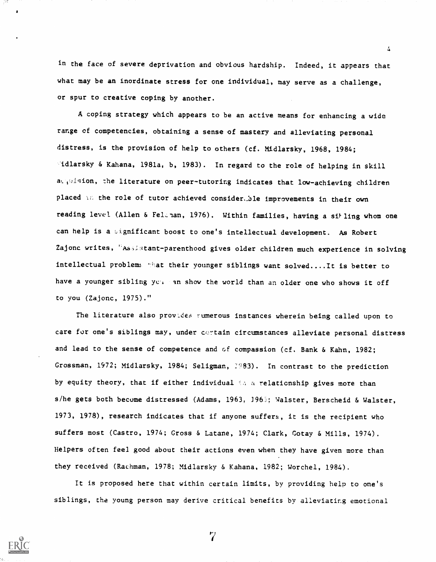in the face of severe deprivation and obvious hardship. Indeed, it appears that what may be an inordinate stress for one individual, may serve as a challenge, or spur to creative coping by another.

4

A coping strategy which appears to be an active means for enhancing a wide range of competencies, obtaining a sense of mastery and alleviating personal distress, is the provision of help to others (cf. Midlarsky, 1968, 1984; didlarsky & Kahana, 1981a, b, 1983). In regard to the role of helping in skill acquision, the literature on peer-tutoring indicates that low-achieving children placed in the role of tutor achieved consider, ble improvements in their own reading level (Allen & Felenan, 1976). Within families, having a silling whom one can help is a significant boost to one's intellectual development. As Robert Zajonc writes, "Assistant-parenthood gives older children much experience in solving intellectual problem: "What their younger siblings want solved....It is better to have a younger sibling you an show the world than an older one who shows it off to you (Zajonc, 1975)."

The literature also provides rumerous instances wherein being called upon to care for one's siblings may, under cortain circumstances alleviate personal distress and lead to the sense of competence and of compassion (cf. Bank & Kahn, 1982; Grossman, 1972; Midlarsky, 1984; Seligman, 2983). In contrast to the prediction by equity theory, that if either individual the a relationship gives more than s/he gets both become distressed (Adams, 1963, )96; Valster, Berscheid & Walster, 1973, 1978), research indicates that if anyone suffers, it is the recipient who suffers most (Castro, 1974; Gross & Latane, 1974; Clark, Gotay & Mills, 1974). Helpers often feel good about their actions even when they have given more than they received (Rachman, 1978; Midlarsky & Kahana, 1982; Worchel, 1984).

It is proposed here that within certain limits, by providing help to one's siblings, the young person may derive critical benefits by alleviating emotional



 $\overline{7}$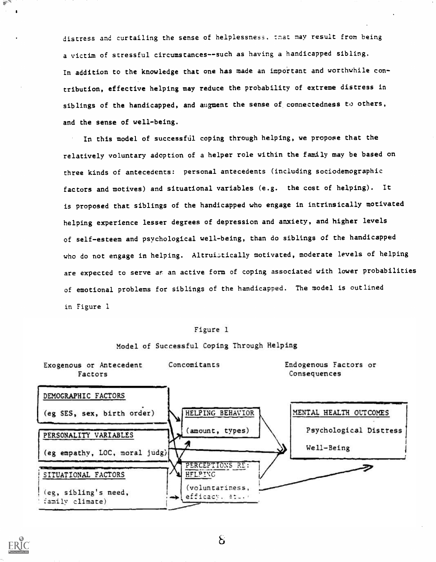distress and curtailing the sense of helplessness, that may result from being a victim of stressful circumstances--such as having a handicapped sibling. In addition to the knowledge that one has made an important and worthwhile contribution, effective helping may reduce the probability of extreme distress in siblings of the handicapped, and augment the sense of connectedness to others, and the sense of well-being.

In this model of successfill coping through helping, we propose that the relatively voluntary adoption of a helper role within the family may be based on three kinds of antecedents: personal antecedents (including sociodemographic factors and motives) and situational variables (e.g. the cost of helping). It is proposed that siblings of the handicapped who engage in intrinsically motivated helping experience lesser degrees of depression and anxiety, and higher levels of self-esteem and psychological well-being, than do siblings of the handicapped who do not engage in helping. Altruistically motivated, moderate levels of helping are expected to serve as an active form of coping associated with lower probabilities of emotional problems for siblings of the handicapped. The model is outlined in Figure 1

#### Model of Successful Coping Through Helping



 $H_{\rm{max}}$ 

 $S$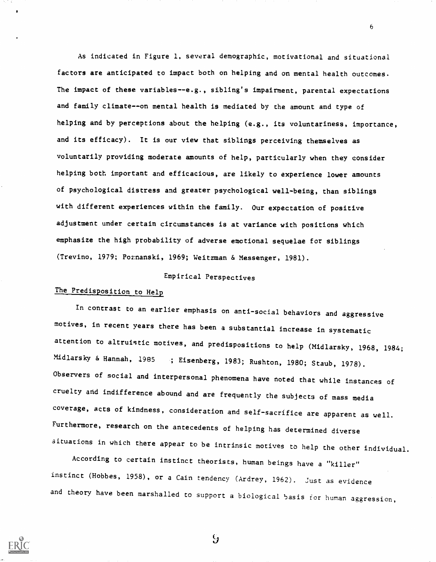As indicated in Figure 1, several demographic, motivational and situational factors are anticipated to impact both on helping and on mental health outcomes. The impact of these variables--e.g., sibling's impairment, parental expectations and family climate--on mental health is mediated by the amount and type of helping and by perceptions about the helping (e.g., its voluntariness, importance, and its efficacy). It is our view that siblings perceiving themselves as voluntarily providing moderate amounts of help, particularly when they consider helping both important and efficacious, are likely to experience lower amounts of psychological distress and greater psychological well-being, than siblings with different experiences within the family. Our expectation of positive adjustment under certain circumstances is at variance with positions which emphasize the high probability of adverse emotional sequelae for siblings (Trevino, 1979; Pormanski, 1969; Weitzman & Messenger, 1981).

### Empirical Perspectives

## The Predisposition to Help

In contrast to an earlier emphasis on anti-social behaviors and aggressive motives, in recent years there has been a substantial increase in systematic attention to altruistic motives, and predispositions to help (Midlarsky, 1968, 1984; Midlarsky & Hannah, <sup>1985</sup> ; Eisenberg, 1983; Rushton, 1980; Staub, 1978). Observers of social and interpersonal phenomena have noted that while instances of cruelty and indifference abound and are frequently the subjects of mass media coverage, acts of kindness, consideration and self-sacrifice are apparent as well. Furthermore, research on the antecedents of helping has determined diverse situations in which there appear to be intrinsic motives to help the other individual.

According to certain instinct theorists, human beings have a "killer" instinct (Hobbes, 1958), or a Cain tendency (Ardrey, 1962). Just as evidence and theory have been marshalled to support a biological basis for human aggression,



 $\mathcal{G}$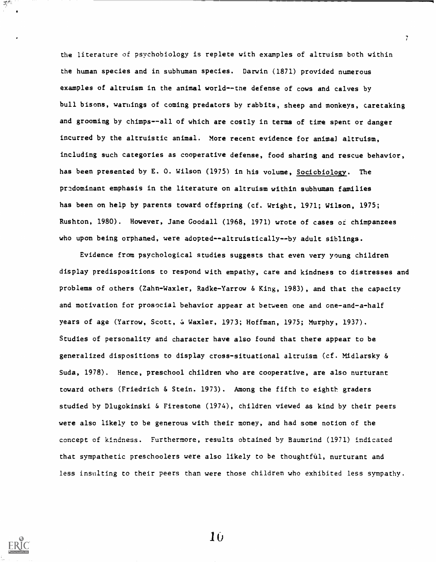the literature of psychobiology is replete with examples of altruism both within the human species and in subhuman species. Darwin (1871) provided numerous examples of altruism in the animal world--the defense of cows and calves by bull bisons, warnings of coming predators by rabbits, sheep and monkeys, caretaking and grooming by chimps--all of which are costly in terms of time spent or danger incurred by the altruistic animal. More recent evidence for animal altruism, including such categories as cooperative defense, food sharing and rescue behavior, has been presented by E. O. Wilson (1975) in his volume, Sociobiology. The predominant emphasis in the literature on altruism within subhuman families has been on help by parents toward offspring (cf. Wright, 1971; Wilson, 1975; Rushton, 1980). However, Jane Goodall (1968, 1971) wrote of cases of chimpanzees who upon being orphaned, were adopted--altruistically--by adult siblings.

7

Evidence from psychological studies suggests that even very young children display predispositions to respond with empathy, care and kindness to distresses and problems of others (Zahn-Waxler, Radke-Yarrow & King, 1983), and that the capacity and motivation for prosocial behavior appear at between one and one-and-a-half years of age (Yarrow, Scott, & Waxler, 1973; Hoffman, 1975; Murphy, 1937). Studies of personality and character have also found that there appear to be generalized dispositions to display cross-situational altruism (cf. Midlarsky & Suda, 1978). Hence, preschool children who are cooperative, are also nurturant toward others (Friedrich & Stein. 1973). Among the fifth to eighth graders studied by Dlugokinski & Firestone (1974), children viewed as kind by their peers were also likely to be generous with their money, and had some notion of the concept of kindness. Furthermore, results obtained by Baumrind (1971) indicated that sympathetic preschoolers were also likely to be thoughtful, nurturant and less insulting to their peers than were those children who exhibited less sympathy.

 $\mathcal{R}^{(R)}$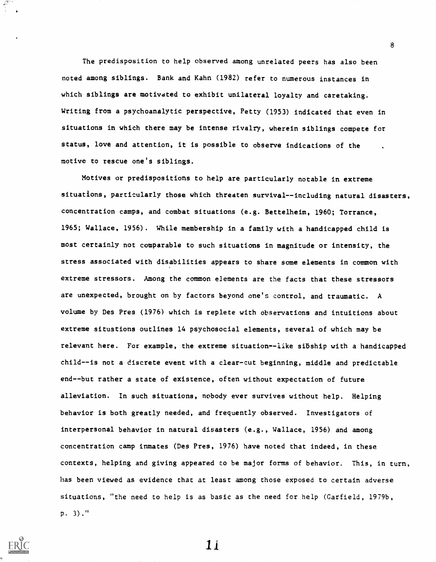The predisposition to help observed among unrelated peers has also been noted among siblings. Bank and Kahn (1982) refer to numerous instances in which siblings are motivated to exhibit unilateral loyalty and caretaking. Writing from a psychoanalytic perspective, Petty (1953) indicated that even in situations in which there may be intense rivalry, wherein siblings compete for status, love and attention, it is possible to observe indications of the motive to rescue one's siblings.

Motives or predispositions to help are particularly notable in extreme situations, particularly those which threaten survival--including natural disasters, concentration camps, and combat situations (e.g. Bettelheim, 1960; Torrance, 1965; Wallace, 1956). While membership in a family with a handicapped child is most certainly not comparable to such situations in magnitude or intensity, the stress associated with disabilities appears to share some elements in common with extreme stressors. Among the common elements are the facts that these stressors are unexpected, brought on by factors beyond one's control, and traumatic. A volume by Des Pres (1976) which is replete with observations and intuitions about extreme situations outlines 14 psychosocial elements, several of which may be relevant here. For example, the extreme situation--like sibship with a handicapped child--is not a discrete event with a clear-cut beginning, middle and predictable end--but rather a state of existence, often without expectation of future alleviation. In such situations, nobody ever survives without help. Helping behavior is both greatly needed, and frequently observed. Investigators of interpersonal behavior in natural disasters (e.g., Wallace, 1956) and among concentration camp inmates (Des Pres, 1976) have noted that indeed, in these contexts, helping and giving appeared to be major forms of behavior. This, in turn, has been viewed as evidence that at least among those exposed to certain adverse situations, "the need to help is as basic as the need for help (Garfield, 1979b, p. 3)."

8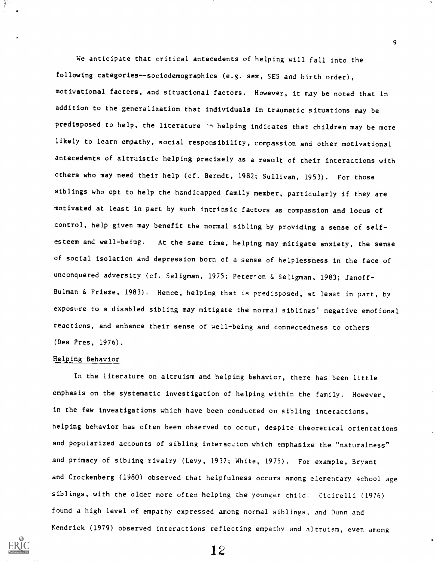We anticipate that critical antecedents of helping will fall into the following categories--sociodemographics (e.g. sex, SES and birth order), motivational factors, and situational factors. However, it may be noted that in addition to the generalization that individuals in traumatic situations may be predisposed to help, the literature in helping indicates that children may be more likely to learn empathy, social responsibility, compassion and other motivational antecedents of altruistic helping precisely as a result of their interactions with others who may need their help (cf. Berndt, 1982; Sullivan, 1953). For those siblings who opt to help the handicapped family member, particularly if they are motivated at least in part by such intrinsic factors as compassion and locus of control, help given may benefit the normal sibling by providing a sense of selfesteem and well-being. At the same time, helping may mitigate anxiety, the sense of social isolation and depression born of a sense of helplessness in the face of unconquered adversity (cf. Seligman, 1975; Peterson & Seligman, 1983; Janoff-Bulman & Frieze, 1983). Hence, helping that is predisposed, at least in part, by exposure to a disabled sibling may mitigate the normal siblings' negative emotional reactions, and enhance their sense of well-being and connectedness to others (Des Pres, 1976).

9

#### Helping Behavior

In the literature on altruism and helping behavior, there has been little emphasis on the systematic investigation of helping within the family. However, in the few investigations which have been conducted on sibling interactions, helping behavior has often been observed to occur, despite theoretical orientations and popularized accounts of sibling interaction which emphasize the "naturalness" and primacy of sibling rivalry (Levy, 1937; White, 1975). For example, Bryant and Crockenberg (1980) observed that helpfulness occurs among elementary school age siblings, with the older more often helping the younger child. Cicirelli (1976) found a high level of empathy expressed among normal siblings, and Dunn and Kendrick (1979) observed interactions reflecting empathy and altruism, even among

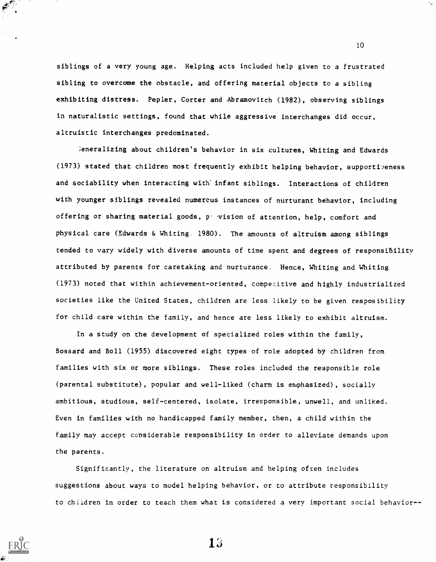siblings of a very young age. Helping acts included help given to a frustrated sibling to overcome the obstacle, and offering material objects to a sibling exhibiting distress. Pepler, Corter and Abramovitch (1982), observing siblings in naturalistic settings, found that while aggressive interchanges did occur, altruistic interchanges predominated.

Generalizing about children's behavior in six cultures, Whiting and Edwards (1973) stated that children most frequently exhibit helping behavior, supportiveness and sociability when interacting with infant siblings. Interactions of children with younger siblings revealed numerous instances of nurturant behavior, including offering or sharing material goods, p. 'vision of attention, help, comfort and physical care (Edwards & Whiting. 1980). The amounts of altruism among siblings tended to vary widely with diverse amounts of time spent and degrees of responsibility attributed by parents for caretaking and nurturance. Hence, Whiting and Whiting (1973) noted that within achievement-oriented, competitive and highly industrialized societies like the United States, children are less likely to be given resposibility for child care within the family, and hence are less likely to exhibit altruism.

In a study on the development of specialized roles within the family, Bossard and Boll (1955) discovered eight types of role adopted by children from families with six or more siblings. These roles included the responsible role (parental substitute), popular and well-liked (charm is emphasized), socially ambitious, studious, self-centered, isolate, irresponsible, unwell, and unliked. Even in families with no handicapped family member, then, a child within the family may accept considerable responsibility in order to alleviate demands upon the parents.

Significantly, the literature on altruism and helping often includes suggestions about ways to model helping behavior, or to attribute responsibility to children in order to teach them what is considered a very important social behavior--



**ERI** 

13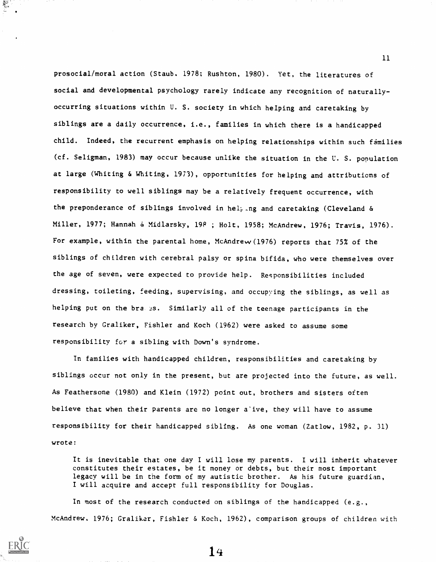prosocial/moral action (Staub. 1978; Rushton, 1980). Yet, the literatures of social and developmental psychology rarely indicate any recognition of naturallyoccurring situations within U. S. society in which helping and caretaking by siblings are a daily occurrence, i.e., families in which there is a handicapped child. Indeed, the recurrent emphasis on helping relationships within such fimilies (cf. Seligman, 1983) may occur because unlike the situation in the U. S. population at large (Whiting & Whiting, 1973), opportunities for helping and attributions of responsibility to well siblings may be a relatively frequent occurrence, with the preponderance of siblings involved in helping and caretaking (Cleveland & Miller, 1977; Hannah & Midlarsky, 19P ; Holt, 1958; McAndrew, 1976; Travis, 1976). For example, within the parental home, McAndrew (1976) reports that 75% of the siblings of children with cerebral palsy or spina bifida, who were themselves over the age of seven, were expected to provide help. Responsibilities included dressing, toileting, feeding, supervising, and occupying the siblings, as well as helping put on the bra. 2S. Similarly all of the teenage participants in the research by Graliker, Fishler and Koch (1962) were asked to assume some responsibility for a sibling with Down's syndrome.

In families with handicapped children, responsibilities and caretaking by siblings occur not only in the present, but are projected into the future, as well. As Feathersone (1980) and Klein (1972) point out, brothers and sisters often believe that when their parents are no longer a"ive, they will have to assume responsibility for their handicapped sibling. As one woman (Zatlow, 1982, p. 31) wrote:

It is inevitable that one day I will lose my parents. I will inherit whatever constitutes their estates, be it money or debts, but their most important legacy will be in the form of my autistic brother. As his future guardian, I will acquire and accept full responsibility for Douglas.

In most of the research conducted on siblings of the handicapped (e.g., McAndrew. 1976; Gralikar, Fishier & Koch, 1962), comparison groups of children with

e and<br>Canada

14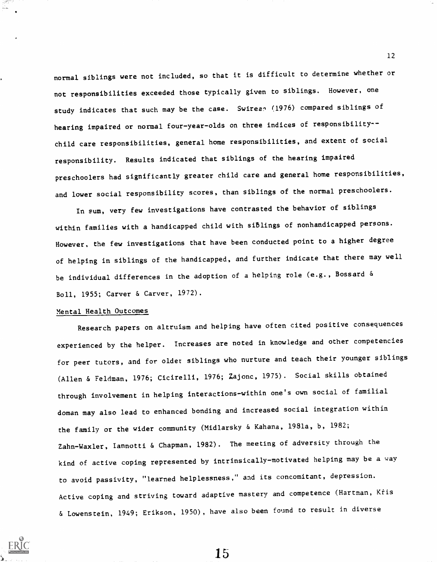normal siblings were not included, so that it is difficult to determine whether or not responsibilities exceeded those typically given to siblings. However, one study indicates that such may be the case. Swirean (1976) compared siblings of hearing impaired or normal four-year-olds on three indices of responsibility-child care responsibilities, general home responsibilities, and extent of social responsibility. Results indicated that siblings of the hearing impaired preschoolers had significantly greater child care and general home responsibilities, and lower social responsibility scores, than siblings of the normal preschoolers.

In sum, very few investigations have contrasted the behavior of siblings within families with a handicapped child with siblings of nonhandicapped persons. However, the few investigations that have been conducted point to a higher degree of helping in siblings of the handicapped, and further indicate that there may well be individual differences in the adoption of a helping role (e.g., Bossard & Boll, 1955; Carver & Carver, 1972).

#### Mental Health Outcomes

Research papers on altruism and helping have often cited positive consequences experienced by the helper. Increases are noted in knowledge and other competencies for peer tutors, and for older siblings who nurture and teach their younger siblings (Allen & Feldman, 1976; Cicirelli, 1976; Zajonc, 1975). Social skills obtained through involvement in helping interactions-within one's own social of familial doman may also lead to enhanced bonding and increased social integration within the family or the wider community (Midlarsky & Kahana, 1981a, b, 1982; Zahn-Waxler, Iannotti & Chapman, 1982). The meeting of adversity through the kind of active coping represented by intrinsically-motivated helping may be a way to avoid passivity, "learned helplessness," and its concomitant, depression. Active coping and striving toward adaptive mastery and competence (Hartman, Kris & Lowenstein, 1949; Erikson, 1950), have also been found to result in diverse



15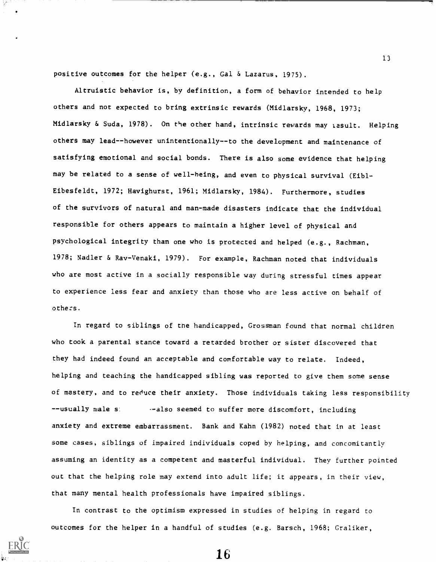positive outcomes for the helper (e.g., Gal & Lazarus, 1975).

Altruistic behavior is, by definition, a form of behavior intended to help others and not expected to bring extrinsic rewards (Midlarsky, 1968, 1973; Midlarsky & Suda, 1978). On the other hand, intrinsic rewards may tesult. Helping others may lead--however unintentionally--to the development and maintenance of satisfying emotional and social bonds. There is also some evidence that helping may be related to a sense of well-being, and even to physical survival (Eibl-Eibesfeldt, 1972; Havighurst, 1961; Midlarsky, 1984). Furthermore, studies of the survivors of natural and man-made disasters indicate that the individual responsible for others appears to maintain a higher level of physical and psychological integrity than one who is protected and helped (e.g., Rachman, 1978; Nadler & Rav-Venaki, 1979). For example, Rachman noted that individuals who are most active in a socially responsible way during stressful times appear to experience less fear and anxiety than those who are less active on behalf of others.

In regard to siblings of the handicapped, Grossman found that normal children who took a parental stance toward a retarded brother or sister discovered that they had indeed found an acceptable and comfortable way to relate. Indeed, helping and teaching the handicapped sibling was reported to give them some sense of mastery, and to reduce their anxiety. Those individuals taking less responsibility --usually male s: --also seemed to suffer more discomfort, including anxiety and extreme embarrassment. Bank and Kahn (1982) noted that in at least some cases, siblings of impaired individuals coped by helping, and concomitantly assuming an identity as a competent and masterful individual. They further pointed out that the helping role may extend into adult life; it appears, in their view, that many mental health professionals have impaired siblings.

In contrast to the optimism expressed in studies of helping in regard to outcomes for the helper in a handful of studies (e.g. Barsch, 1968; Graliker,

16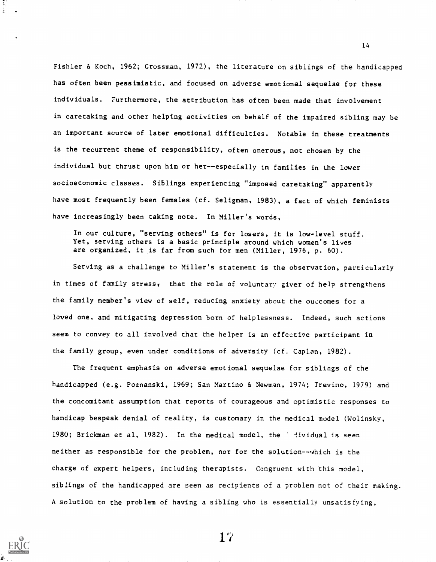Fishier & Koch, 1962; Grossman, 1972), the literature on siblings of the handicapped has often been pessimistic, and focused on adverse emotional sequelae for these individuals. 7urthermore, the attribution has often been made that involvement in caretaking and other helping activities on behalf of the impaired sibling may be an important source of later emotional difficulties. Notable in these treatments is the recurrent theme of responsibility, often onerous, not chosen by the individual but thrust upon him or her--especially in families in the lower socioeconomic classes. Siblings experiencing "imposed caretaking" apparently have most frequently been females (cf. Seligman, 1983), a fact of which feminists have increasingly been taking note. In Miller's words,

In our culture, "serving others" is for losers, it is low-level stuff. Yet, serving others is a basic principle around which women's lives are organized, it is far from such for men (Miller, 1976, p. 60).

Serving as a challenge to Miller's statement is the observation, particularly in times of family stress, that the role of voluntary giver of help strengthens the family member's view of self, reducing anxiety about the outcomes for a loved one, and mitigating depression born of helplessness. Indeed, such actions seem to convey to all involved that the helper is an effective participant in the family group, even under conditions of adversity (cf. Caplan, 1982).

The frequent emphasis on adverse emotional sequelae for siblings of the handicapped (e.g. Poznanski, 1969; San Martino & Newman, 1974; Trevino, 1979) and the concomitant assumption that reports of courageous and optimistic responses to handicap bespeak denial of reality, is customary in the medical model (Wolinsky, 1980; Brickman et al, 1982). In the medical model, the ' !ividual is seen neither as responsible for the problem, nor for the solution--which is the charge of expert helpers, including therapists. Congruent with this model, siblings of the handicapped are seen as recipients of a problem not of their making. A solution to the problem of having a sibling who is essentially unsatisfying,



 $17$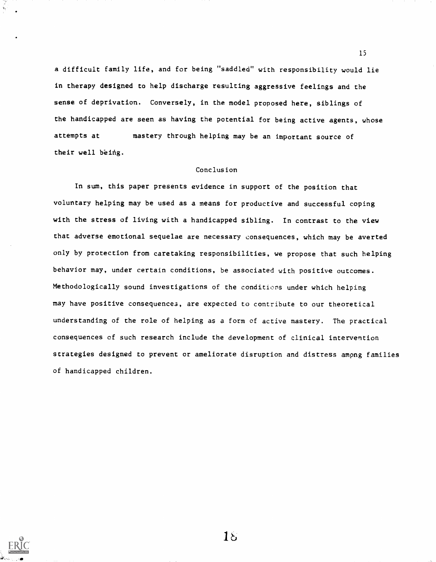a difficult family life, and for being "saddled" with responsibility would lie in therapy designed to help discharge resulting aggressive feelings and the sense of deprivation. Conversely, in the model proposed here, siblings of the handicapped are seen as having the potential for being active agents, whose attempts at mastery through helping may be an important source of their well being.

#### Conclusion

In sum, this paper presents evidence in support of the position that voluntary helping may be used as a means for productive and successful coping with the stress of living with a handicapped sibling. In contrast to the view that adverse emotional sequelae are necessary consequences, which may be averted only by protection from caretaking responsibilities, we propose that such helping behavior may, under certain conditions, be associated with positive outcomes. Methodologically sound investigations of the conditions under which helping may have positive consequences, are expected to contribute to our theoretical understanding of the role of helping as a form of active mastery. The practical consequences of such research include the development of clinical intervention strategies designed to prevent or ameliorate disruption and distress ampng families of handicapped children.



 $18$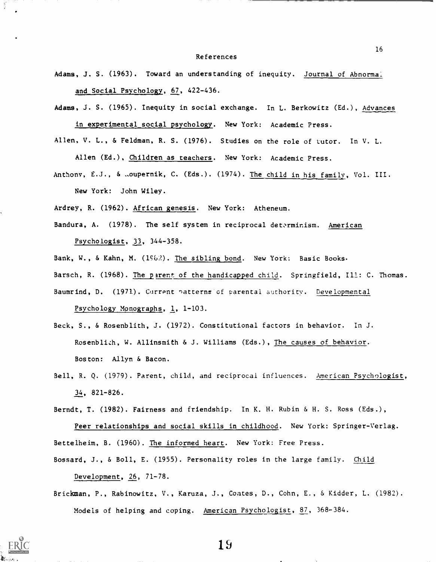#### References

- Adams, J. S. (1963). Toward an understanding of inequity. Journal of Abnormal and Social Psychology, 67, 422-436.
- Adams, J. S. (1965). Inequity in social exchange. In L. Berkowitz (Ed.), Advances in experimental social psychology. New York: Academic Press.
- Allen, V. L., & Feldman, R. S. (1976). Studies on the role of tutor. In V. L. Allen (Ed.), Children as teachers. New York: Academic Press.
- Anthony, E.J., & .oupernik, C. (Eds.). (1974). The child in his family, Vol. III. New York: John Wiley.
- Ardrey, R. (1962). African genesis. New York: Atheneum.
- Bandura, A. (1978). The self system in reciprocal determinism. American Psychologist, 33, 344-358.
- Bank, W., & Kahn, M. (1962). The sibling bond. New York: Basic Books.
- Barsch, R. (1968). The parent of the handicapped child. Springfield, Ill: C. Thomas.
- Baumrind, D. (1971). Current patterns of parental authority. Developmental Psychology Monographs, 1, 1-103.
- Beck, S., & Rosenblith, J. (1972). Constitutional factors in behavior. In J. Rosenblizh, W. Allinsmith & J. Williams (Eds.), The causes of behavior. Boston: Allyn & Bacon.
- Bell, R. Q. (1979). Parent, child, and reciprocal influences. American Psychologist, 34, 821-826.

Berndt, T. (1982). Fairness and friendship. In K. H. Rubin & H. S. Ross (Eds.),

Peer relationships and social skills in childhood. New York: Springer-Verlag. Bettelheim, B. (1960). The informed heart. New York: Free Press.

Bossard, J., & Boll, E. (1955). Personality roles in the large family. Child Development, 26, 71-78.

Brickman, P., Rabinowitz, V., Karuza, J., Coates, D., Cohn, E., & Kidder, L. (1982). Models of helping and coping. American Psychologist, 87, 368-384.

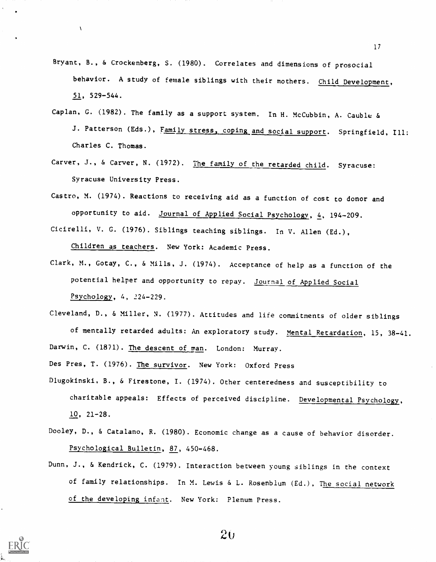- Bryant, B., & Crockenberg, S. (1980). Correlates and dimensions of prosocial behavior. A study of female siblings with their mothers. Child Development,  $51, 529-544.$
- Caplan, G. (1982). The family as a support system. In H. McCubbin, A. Cauble & J. Patterson (Eds.), Family stress, coping and social support. Springfield, Ill: Charles C. Thomas.
- Carver, J., & Carver, N. (1972). The family of the retarded child. Syracuse: Syracuse University Press.
- Castro, M. (1974). Reactions to receiving aid as a function of cost to donor and opportunity to aid. Journal of Applied Social Psychology, 4, 194-209. Cicirelli, V. G. (1976). Siblings teaching siblings. In V. Allen (Ed.),

Children as teachers. New York: Academic Press.

 $\Lambda$ 

Clark, M., Gotay, C., & Mills, J. (1974). Acceptance of help as a function of the potential helper and opportunity to repay. Journal of Applied Social Psychology, 4, 224-229.

Cleveland, D., & Miller, N. (1977). Attitudes and life commitments of older siblings of mentally retarded adults: An exploratory study. Mental Retardation, 15, 38-41.

Darwin, C. (1871). The descent of man. London: Murray.

Des Pres, T. (1976). The survivor. New York: Oxford Press

- Dlugokinski, B., & Firestone, I. (1974). Other centeredness and susceptibility to charitable appeals: Effects of perceived discipline. Developmental Psychology, 10, 21-28.
- Dooley, D., & Catalano, R. (1980). Economic change as a cause of behavior disorder. Psychological Bulletin, 87, 450-468.
- Dunn, J., & Kendrick, C. (1979). Interaction between young siblings in the context of family relationships. In M. Lewis & L. Rosenblum (Ed.), The social network of the developing infant. New York: Plenum Press.



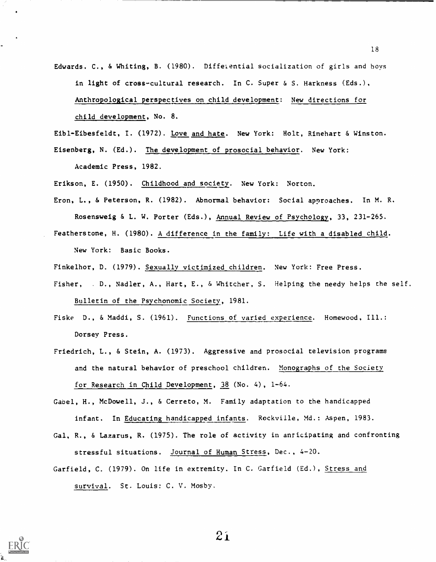Edwards. C., & Whiting, B. (1980). Differential socialization of girls and boys in light of cross-cultural research. In C. Super & S. Harkness (Eds.), Anthropological perspectives on child development: New directions for child development, No. 8.

Eibl-Eibesfeldt, I. (1972). Love and hate. New York: Holt, Rinehart & Winston. Eisenberg, N. (Ed.). The development of prosocial behavior. New York:

Academic Press, 1982.

Erikson, E. (1950). Childhood and society.. New York: Norton.

- Eron, L., & Peterson, R. (1982). Abnormal behavior: Social approaches. In M. R. Rosensweig & L. W. Porter (Eds.), Annual Review of Psychology, 33, 231-265.
- Featherstone, H. (1980). A difference in the family: Life with a disabled child. New York: Basic Books.
- Finkelhor, D. (1979). Sexually victimized children. New York: Free Press.
- Fisher, . D., Nadler, A., Hart, E., & Whitcher, S. Helping the needy helps the self. Bulletin of the Psychonomic Society, 1981.
- Fiske D., & Maddi, S. (1961). Functions of varied experience. Homewood, Ill.: Dorsey Press.
- Friedrich, L., & Stein, A. (1973). Aggressive and prosocial television programs and the natural behavior of preschool children. Monographs of the Society for Research in Child Development, 38 (No. 4), 1-64.
- Gabel, H., McDowell, J., & Cerreto, M. Family adaptation to the handicapped infant. In Educating handicapped infants. Rockville, Md.: Aspen, 1983.
- Gal, R., & Lazarus, R. (1975). The role of activity in anticipating and confronting stressful situations. Journal of Human Stress, Dec., 4-20.
- Garfield, C. (1979). On life in extremity. In C. Garfield (Ed.), Stress and survival. St. Louis: C. V. Mosby.



 $21$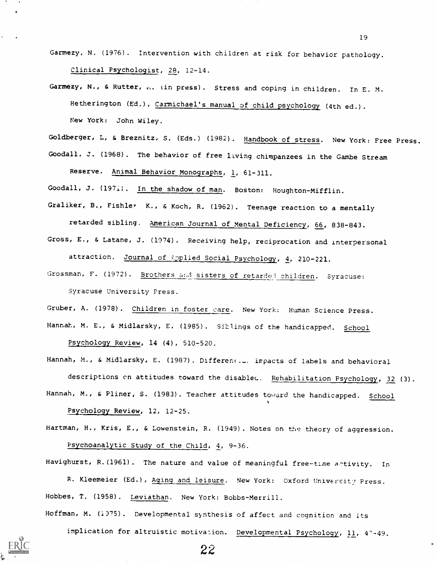Garmezy, N. (1976). Intervention with children at risk for behavior pathology. Clinical Psychologist, 28, 12-14.

Garmezy, N., & Rutter,  $n$ . (in press). Stress and coping in children. In E. M. Hetherington (Ed.), Carmichael's manual of child psychology (4th ed.). New York: John Wiley.

Goldberger, L, & Breznitz, S. (Eds.) (1982). Handbook of stress. New York: Free Press.

Goodall, J. (1968). The behavior of free living chimpanzees in the Gambe Stream

Reserve. Animal Behavior Monographs, 1, 61-311.

Goodall, J. (1971). In the shadow of man. Boston: Houghton-Mifflin.

Graliker, B., Fishier K., & Koch, R. (1962). Teenage reaction to a mentally

retarded sibling. American Journal of Mental Deficiency, 66, 838-843.

Gross, E., & Latane, J. (1074). Receiving help, reciprocation and interpersonal attraction. Journal of Applied Social Psychology, 4, 210-221.

Grossman, F. (1972). Brothers and sisters of retarded children. Syracuse: Syracuse University Press.

Gruber, A. (1978). Children in foster care. New York: Human Science Press. Hannah, M. E., & Midlarsky, E. (1985). Siblings of the handicapped. School Psychology Review, 14 (4), 510-520.

Hannah, M., & Midlarsky, E. (1987). Different.a. impacts of labels and behavioral descriptions on attitudes toward the disablec. Rehabilitation Psychology, 32 (3). Hannah, M., & Pliner, S. (1983). Teacher attitudes toward the handicapped. School

Psycholoqy Review, 12, 12-25.

Hartman, H., Kris, E., & Lowenstein, R. (1949). Notes on the theory of aggression. Psychoanalytic Study of the Child, 4, 9-36.

Havighurst, R.(1961). The nature and value of meaningful free-time antivity. In

R. Kleemeier (Ed.), Aging and leisure. New York: Oxford University Press. Hobbes, T. (1958). Leviathan. New York: Bobbs-Merrill.

Hoffman, M. (1975). Developmental synthesis of affect and cognition and its

22

implication for altruistic motivation. Developmental Psychology, 11, 41-49.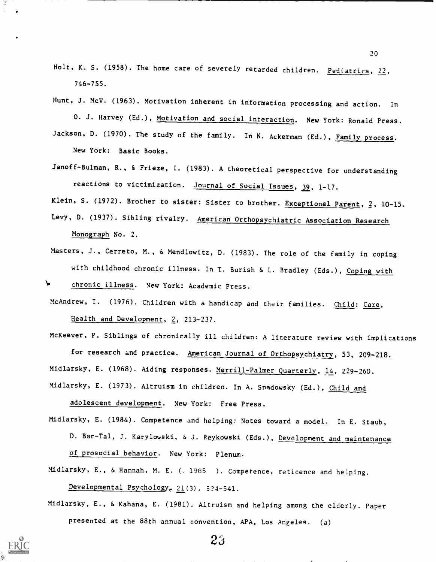- Holt, K. S. (1958). The home care of severely retarded children. Pediatrics, 22, 746-755.
- Hunt, J. McV. (1963). Motivation inherent in information processing and action. In 0. J. Harvey (Ed.), Motivation and social interaction. New York: Ronald Press. Jackson, D. (1970). The study of the family. In N. Ackerman (Ed.), Family process. New York: Basic Books.
- Janoff-Bulman, R., & Frieze, I. (1983). A theoretical perspective for understanding reactions to victimization. Journal of Social Issues, 39, 1-17.

Klein, S. (1972). Brother to sister: Sister to brother. Exceptional Parent, 2, 10-15.

- Levy, D. (1937). Sibling rivalry. American Orthopsychiatric Association Research Monograph No. 2.
- Masters, J., Cerreto, M., & Mendlowitz, D. (1983). The role of the family in coping with childhood chronic illness. In T. Burish & L. Bradley (Eds.), Coping with
- chronic illness. New York: Academic Press.
- McAndrew, I. (1976). Children with a handicap and their families. Child: Care, Health and Development, 2, 213-237.

McKeever, P. Siblings of chronically ill children: A literature review with implications for research and practice. American Journal of Orthopsychiatry, 53, 209-218. Midlarsky, E. (1968). Aiding responses. Merrill-Palmer Quarterly, 14, 229-260. Midlarsky, E. (1973). Altruism in children. In A. Snadowsky (Ed.), Child and

adolescent development. New York: Free Press.

D. Bar-Tal, J. Karylowski, & J. Reykowski (Eds.), Development and maintenance of prosocial behavior. New York: Plenum. Midlarsky, E. (1984). Competence and helping: Notes toward a model. In E. Staub, Midlarsky, E., & Hannah, M. E. (. 1985 ). Competence, reticence and helping.

Developmental Psychology, 21(3), 524-541.

Midlarsky, E., & Kahana, E. (1981). Altruism and helping among the elderly. Paper presented at the 88th annual convention, APA, Los Angeles. (a)

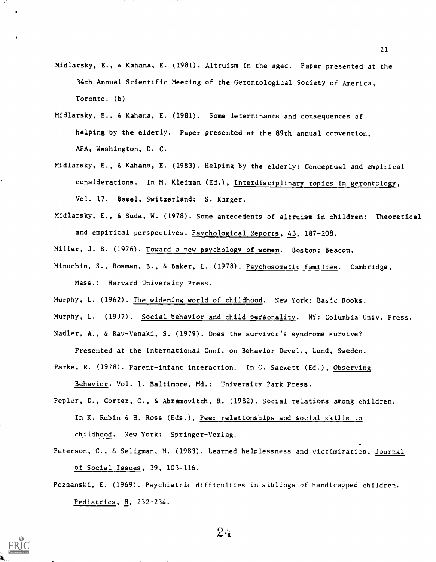- Midlarsky, E., & Kahana, E. (1981). Altruism in the aged. Paper presented at the 34th Annual Scientific Meeting of the Gerontological Society of America, Toronto. (b)
- Midlarsky, E., & Kahana, E. (1981). Some determinants and consequences of helping by the elderly. Paper presented at the 89th annual convention, APA, Washington, D. C.
- Midlarsky, E., & Kahana, E. (1983). Helping by the elderly: Conceptual and empirical considerations. In M. Kleiman (Ed.), Interdisciplinary topics in gerontology, Vol. 17. Basel, Switzerland: S. Karger.
- Midlarsky, E., & Suda, W. (1978). Some antecedents of altruism in children: Theoretical and empirical perspectives. Psychological Reports, 43, 187-208.

Miller, J. B. (1976). Toward a new psychology of women. Boston: Beacon.

Minuchin, S., Rosman, B., & Baker, L. (1978). Psychosomatic families. Cambridge, Mass.: Harvard University Press.

Murphy, L. (1962). The widening world of childhood. New York: Basic Books.

Murphy, L. (1937). Social behavior and child personality. NY: Columbia Univ. Press.

Nadler, A., & Rav-Venaki, S. (1979). Does the survivor's syndrome survive?

Presented at the International Conf. on Behavior Devel., Lund, Sweden.

Parke, R. (1978). Parent-infant interaction. In G. Sackett (Ed.), Observing Behavior. Vol. 1. Baltimore, Md.: University Park Press.

Pepler, D., Corter, C., & Abramovitch, R. (1982). Social relations among children. In K. Rubin & H. Ross (Eds.), Peer relationships and social skills in childhood. New York: Springer-Verlag.

- Peterson, C., & Seligman, M. (1983). Learned helplessness and victimization. Journal of Social Issues, 39, 103-116.
- Poznanski, E. (1969). Psychiatric difficulties in siblings of handicapped children. Pediatrics, 8, 232-234.



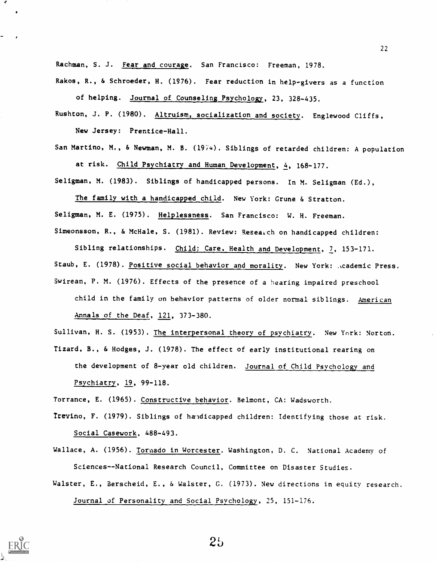Rachman, S. J. Fear and courage. San Francisco: Freeman, 1978.

Rakos, R., & Schroeder, H. (1976). Fear reduction in help-givers as a function of helping. Journal of Counseling Psychology, 23, 328-435.

Rushton, J. P. (1980). Altruism, socialization and society. Englewood Cliffs, New Jersey: Prentice-Hall.

San Martino, M., & Newman, M. B. (1974). Siblings of retarded children: A population at risk. Child Psychiatry and Human Development, 4, 168-177.

Seligman, M. (1983). Siblings of handicapped persons. In M. Seligman (Ed.),

The family with a handicapped child. New York: Grune & Stratton. Seligman, M. E. (1975). Helplessness. San Francisco: W. H. Freeman. Simeonsson, R., & McHale, S. (1981). Review: Research on handicapped children:

Sibling relationships. Child: Care, Health and Development, 7, 153-171. Staub, E. (1978). Positive social behavior and morality. New York: ..cademic Press. Swirean, P. M. (1976). Effects of the presence of a hearing impaired preschool child in the family on behavior patterns of older normal siblings. American Annals of the Deaf, 121, 373-380.

Sullivan, H. S. (1953). The interpersonal theory of psychiatry. New York: Norton.

Tizard, B., & Hodges, J. (1978). The effect of early institutional rearing on the development of 8-year old children. Journal of Child Psychology and Psychiatry, 19, 99-118.

Torrance, E. (1965). Constructive behavior. Belmont, CA: Wadsworth.

Trevino, F. (1979). Siblings of handicapped children: Identifying those at risk. Social Casework, 488-493.

Wallace, A. (1956). Tormado in Worcester. Washington, D. C. National Academy of Sciences--National Research Council, Committee on Disaster Studies.

Walster, E., Berscheid, E., & Walster, G. (1973). New directions in equity research. Journal of Personality and Social Psychology, 25, 151-176.